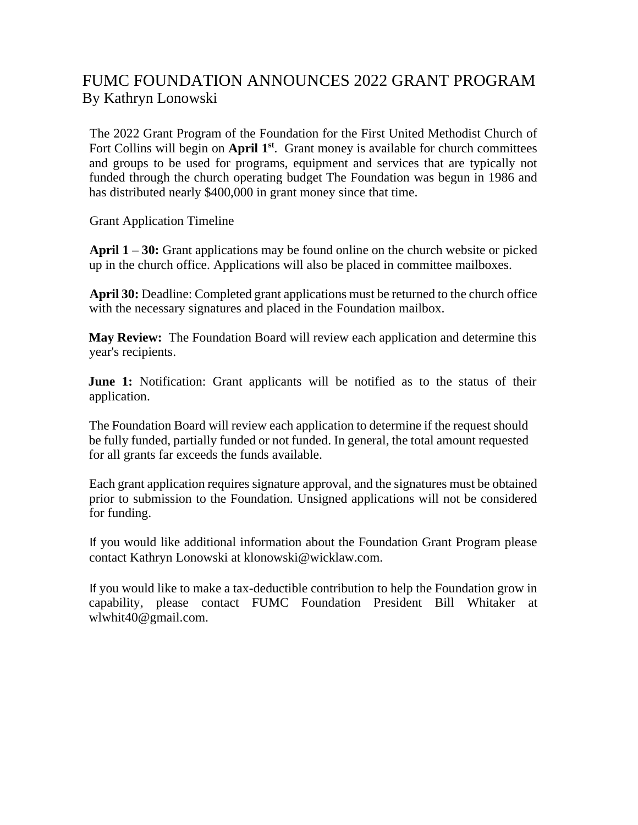## FUMC FOUNDATION ANNOUNCES 2022 GRANT PROGRAM By Kathryn Lonowski

The 2022 Grant Program of the Foundation for the First United Methodist Church of Fort Collins will begin on April 1<sup>st</sup>. Grant money is available for church committees and groups to be used for programs, equipment and services that are typically not funded through the church operating budget The Foundation was begun in 1986 and has distributed nearly \$400,000 in grant money since that time.

Grant Application Timeline

**April 1 – 30:** Grant applications may be found online on the church website or picked up in the church office. Applications will also be placed in committee mailboxes.

**April 30:** Deadline: Completed grant applications must be returned to the church office with the necessary signatures and placed in the Foundation mailbox.

**May Review:** The Foundation Board will review each application and determine this year's recipients.

**June 1:** Notification: Grant applicants will be notified as to the status of their application.

The Foundation Board will review each application to determine if the request should be fully funded, partially funded or not funded. In general, the total amount requested for all grants far exceeds the funds available.

Each grant application requires signature approval, and the signatures must be obtained prior to submission to the Foundation. Unsigned applications will not be considered for funding.

If you would like additional information about the Foundation Grant Program please contact Kathryn Lonowski at klonowski@wicklaw.com.

If you would like to make a tax-deductible contribution to help the Foundation grow in capability, please contact FUMC Foundation President Bill Whitaker at wlwhit40@gmail.com.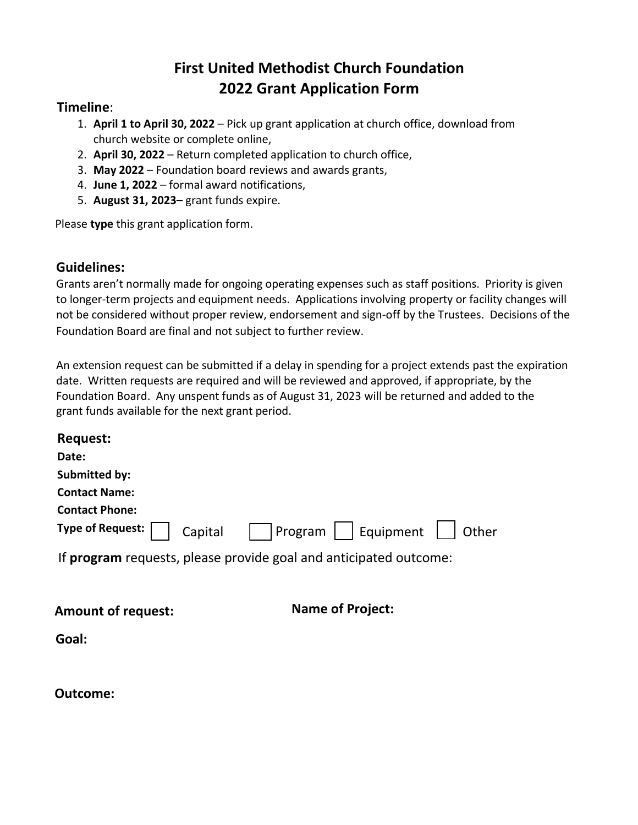# **First United Methodist Church Foundation 2022 Grant Application Form**

#### **Timeline**:

- 1. **April 1 to April 30, 2022** Pick up grant application at church office, download from church website or complete online,
- 2. **April 30, 2022** Return completed application to church office,
- 3. **May 2022** Foundation board reviews and awards grants,
- 4. **June 1, 2022** formal award notifications,
- 5. **August 31, 2023** grant funds expire.

Please **type** this grant application form.

### **Guidelines:**

Grants aren't normally made for ongoing operating expenses such as staff positions. Priority is given to longer-term projects and equipment needs. Applications involving property or facility changes will not be considered without proper review, endorsement and sign-off by the Trustees. Decisions of the Foundation Board are final and not subject to further review.

An extension request can be submitted if a delay in spending for a project extends past the expiration date. Written requests are required and will be reviewed and approved, if appropriate, by the Foundation Board. Any unspent funds as of August 31, 2023 will be returned and added to the grant funds available for the next grant period.

| <b>Request:</b>       |                                                                        |  |
|-----------------------|------------------------------------------------------------------------|--|
| Date:                 |                                                                        |  |
| Submitted by:         |                                                                        |  |
| <b>Contact Name:</b>  |                                                                        |  |
| <b>Contact Phone:</b> |                                                                        |  |
|                       | Type of Request: $\Box$ Capital $\Box$ Program     Equipment     Other |  |
|                       | If program requests, please provide goal and anticipated outcome:      |  |

| <b>Amount of request:</b> |
|---------------------------|
|---------------------------|

**Name of Project:** 

**Goal:**

#### **Outcome:**